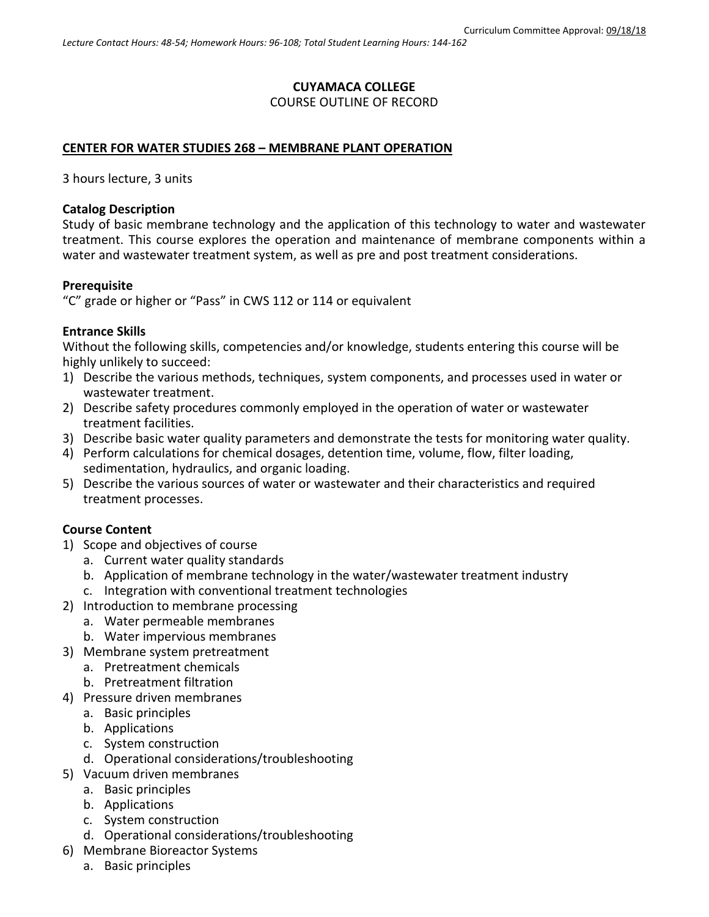### **CUYAMACA COLLEGE**

### COURSE OUTLINE OF RECORD

#### **CENTER FOR WATER STUDIES 268 – MEMBRANE PLANT OPERATION**

3 hours lecture, 3 units

#### **Catalog Description**

Study of basic membrane technology and the application of this technology to water and wastewater treatment. This course explores the operation and maintenance of membrane components within a water and wastewater treatment system, as well as pre and post treatment considerations.

#### **Prerequisite**

"C" grade or higher or "Pass" in CWS 112 or 114 or equivalent

#### **Entrance Skills**

Without the following skills, competencies and/or knowledge, students entering this course will be highly unlikely to succeed:

- 1) Describe the various methods, techniques, system components, and processes used in water or wastewater treatment.
- 2) Describe safety procedures commonly employed in the operation of water or wastewater treatment facilities.
- 3) Describe basic water quality parameters and demonstrate the tests for monitoring water quality.
- 4) Perform calculations for chemical dosages, detention time, volume, flow, filter loading, sedimentation, hydraulics, and organic loading.
- 5) Describe the various sources of water or wastewater and their characteristics and required treatment processes.

### **Course Content**

- 1) Scope and objectives of course
	- a. Current water quality standards
	- b. Application of membrane technology in the water/wastewater treatment industry
	- c. Integration with conventional treatment technologies
- 2) Introduction to membrane processing
	- a. Water permeable membranes
	- b. Water impervious membranes
- 3) Membrane system pretreatment
	- a. Pretreatment chemicals
	- b. Pretreatment filtration
- 4) Pressure driven membranes
	- a. Basic principles
	- b. Applications
	- c. System construction
	- d. Operational considerations/troubleshooting
- 5) Vacuum driven membranes
	- a. Basic principles
	- b. Applications
	- c. System construction
	- d. Operational considerations/troubleshooting
- 6) Membrane Bioreactor Systems
	- a. Basic principles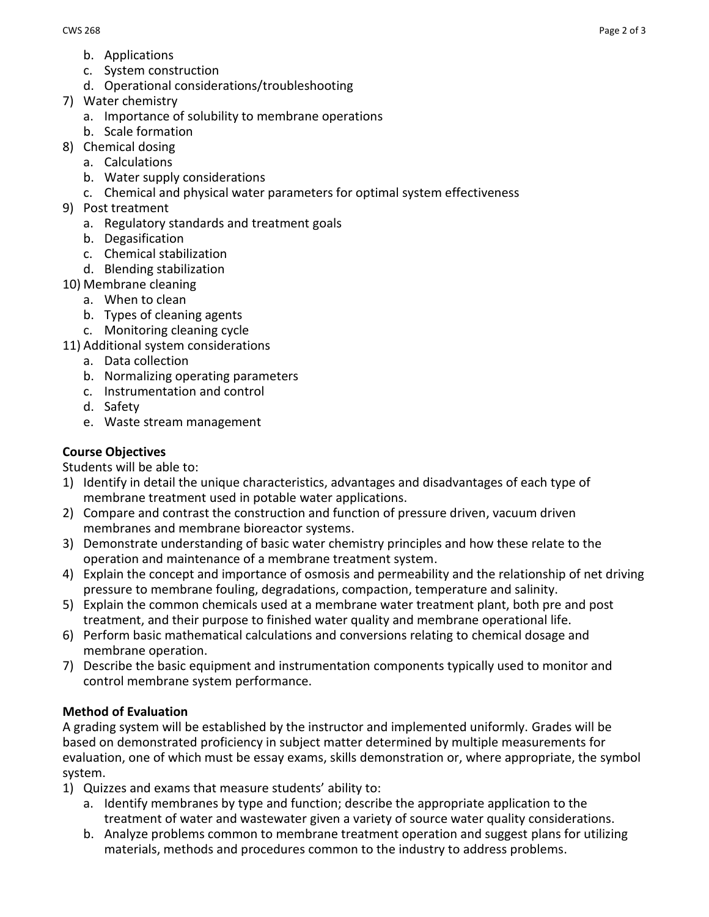- b. Applications
- c. System construction
- d. Operational considerations/troubleshooting
- 7) Water chemistry
	- a. Importance of solubility to membrane operations
	- b. Scale formation
- 8) Chemical dosing
	- a. Calculations
	- b. Water supply considerations
	- c. Chemical and physical water parameters for optimal system effectiveness
- 9) Post treatment
	- a. Regulatory standards and treatment goals
	- b. Degasification
	- c. Chemical stabilization
	- d. Blending stabilization
- 10) Membrane cleaning
	- a. When to clean
	- b. Types of cleaning agents
	- c. Monitoring cleaning cycle
- 11) Additional system considerations
	- a. Data collection
	- b. Normalizing operating parameters
	- c. Instrumentation and control
	- d. Safety
	- e. Waste stream management

## **Course Objectives**

Students will be able to:

- 1) Identify in detail the unique characteristics, advantages and disadvantages of each type of membrane treatment used in potable water applications.
- 2) Compare and contrast the construction and function of pressure driven, vacuum driven membranes and membrane bioreactor systems.
- 3) Demonstrate understanding of basic water chemistry principles and how these relate to the operation and maintenance of a membrane treatment system.
- 4) Explain the concept and importance of osmosis and permeability and the relationship of net driving pressure to membrane fouling, degradations, compaction, temperature and salinity.
- 5) Explain the common chemicals used at a membrane water treatment plant, both pre and post treatment, and their purpose to finished water quality and membrane operational life.
- 6) Perform basic mathematical calculations and conversions relating to chemical dosage and membrane operation.
- 7) Describe the basic equipment and instrumentation components typically used to monitor and control membrane system performance.

# **Method of Evaluation**

A grading system will be established by the instructor and implemented uniformly. Grades will be based on demonstrated proficiency in subject matter determined by multiple measurements for evaluation, one of which must be essay exams, skills demonstration or, where appropriate, the symbol system.

- 1) Quizzes and exams that measure students' ability to:
	- a. Identify membranes by type and function; describe the appropriate application to the treatment of water and wastewater given a variety of source water quality considerations.
	- b. Analyze problems common to membrane treatment operation and suggest plans for utilizing materials, methods and procedures common to the industry to address problems.